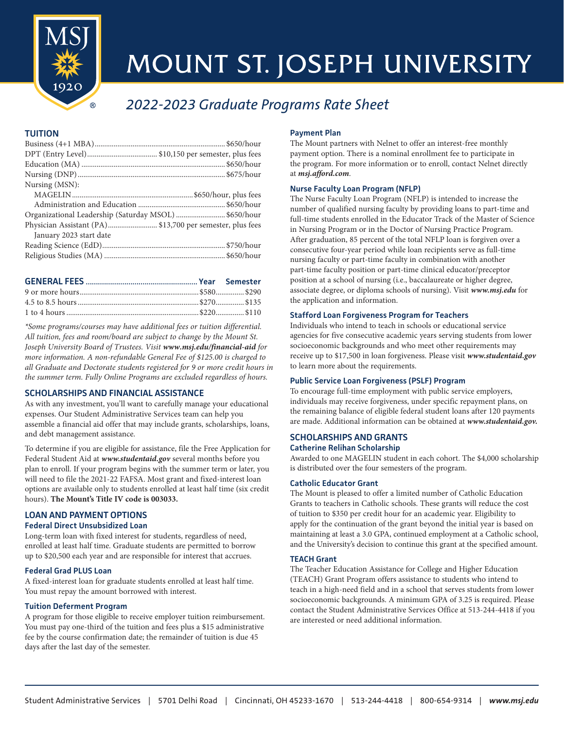

# MOUNT ST. JOSEPH UNIVERSITY

# *2022-2023 Graduate Programs Rate Sheet*

# **TUITION**

| Nursing (MSN):                                           |  |
|----------------------------------------------------------|--|
|                                                          |  |
|                                                          |  |
| Organizational Leadership (Saturday MSOL) \$650/hour     |  |
| Physician Assistant (PA)\$13,700 per semester, plus fees |  |
| January 2023 start date                                  |  |
|                                                          |  |
|                                                          |  |

*\*Some programs/courses may have additional fees or tuition differential. All tuition, fees and room/board are subject to change by the Mount St. Joseph University Board of Trustees. Visit www.msj.edu/financial-aid for more information. A non-refundable General Fee of \$125.00 is charged to all Graduate and Doctorate students registered for 9 or more credit hours in the summer term. Fully Online Programs are excluded regardless of hours.*

# **SCHOLARSHIPS AND FINANCIAL ASSISTANCE**

As with any investment, you'll want to carefully manage your educational expenses. Our Student Administrative Services team can help you assemble a financial aid offer that may include grants, scholarships, loans, and debt management assistance.

To determine if you are eligible for assistance, file the Free Application for Federal Student Aid at *www.studentaid.gov* several months before you plan to enroll. If your program begins with the summer term or later, you will need to file the 2021-22 FAFSA. Most grant and fixed-interest loan options are available only to students enrolled at least half time (six credit hours). **The Mount's Title IV code is 003033.** 

# **LOAN AND PAYMENT OPTIONS Federal Direct Unsubsidized Loan**

Long-term loan with fixed interest for students, regardless of need, enrolled at least half time. Graduate students are permitted to borrow up to \$20,500 each year and are responsible for interest that accrues.

### **Federal Grad PLUS Loan**

A fixed-interest loan for graduate students enrolled at least half time. You must repay the amount borrowed with interest.

### **Tuition Deferment Program**

A program for those eligible to receive employer tuition reimbursement. You must pay one-third of the tuition and fees plus a \$15 administrative fee by the course confirmation date; the remainder of tuition is due 45 days after the last day of the semester.

# **Payment Plan**

The Mount partners with Nelnet to offer an interest-free monthly payment option. There is a nominal enrollment fee to participate in the program. For more information or to enroll, contact Nelnet directly at *msj.afford.com*.

# **Nurse Faculty Loan Program (NFLP)**

The Nurse Faculty Loan Program (NFLP) is intended to increase the number of qualified nursing faculty by providing loans to part-time and full-time students enrolled in the Educator Track of the Master of Science in Nursing Program or in the Doctor of Nursing Practice Program. After graduation, 85 percent of the total NFLP loan is forgiven over a consecutive four-year period while loan recipients serve as full-time nursing faculty or part-time faculty in combination with another part-time faculty position or part-time clinical educator/preceptor position at a school of nursing (i.e., baccalaureate or higher degree, associate degree, or diploma schools of nursing). Visit *www.msj.edu* for the application and information.

# **Stafford Loan Forgiveness Program for Teachers**

Individuals who intend to teach in schools or educational service agencies for five consecutive academic years serving students from lower socioeconomic backgrounds and who meet other requirements may receive up to \$17,500 in loan forgiveness. Please visit *www.studentaid.gov* to learn more about the requirements.

# **Public Service Loan Forgiveness (PSLF) Program**

To encourage full-time employment with public service employers, individuals may receive forgiveness, under specific repayment plans, on the remaining balance of eligible federal student loans after 120 payments are made. Additional information can be obtained at *www.studentaid.gov.* 

#### **SCHOLARSHIPS AND GRANTS Catherine Relihan Scholarship**

Awarded to one MAGELIN student in each cohort. The \$4,000 scholarship is distributed over the four semesters of the program.

### **Catholic Educator Grant**

The Mount is pleased to offer a limited number of Catholic Education Grants to teachers in Catholic schools. These grants will reduce the cost of tuition to \$350 per credit hour for an academic year. Eligibility to apply for the continuation of the grant beyond the initial year is based on maintaining at least a 3.0 GPA, continued employment at a Catholic school, and the University's decision to continue this grant at the specified amount.

### **TEACH Grant**

The Teacher Education Assistance for College and Higher Education (TEACH) Grant Program offers assistance to students who intend to teach in a high-need field and in a school that serves students from lower socioeconomic backgrounds. A minimum GPA of 3.25 is required. Please contact the Student Administrative Services Office at 513-244-4418 if you are interested or need additional information.